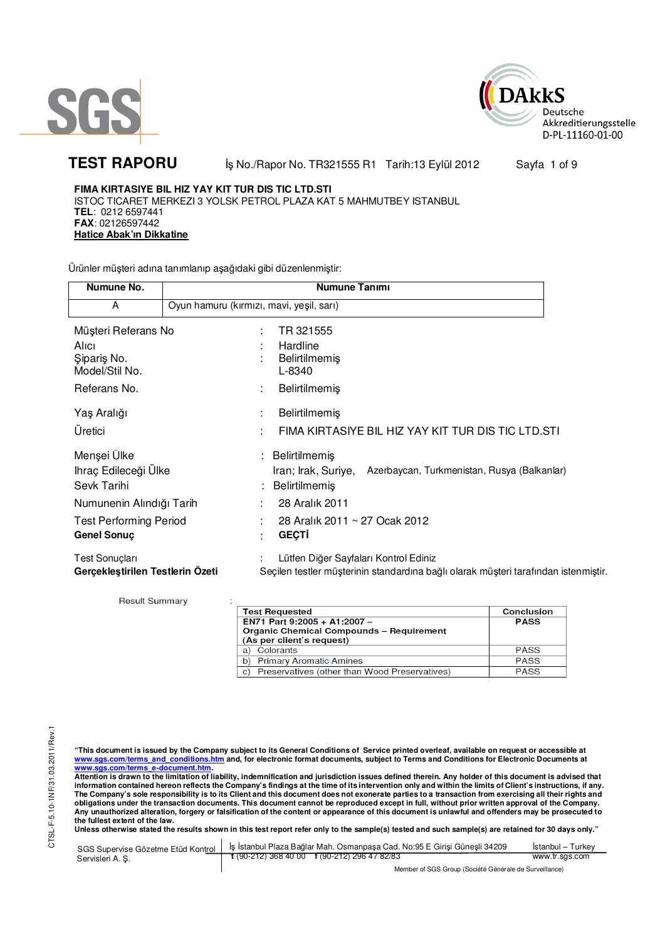



TEST RAPORU **By No./Rapor No. TR321555 R1 Tarih:13 Eylül 2012** Sayfa 1 of 9

**FIMA KIRTASIYE BIL HIZ YAY KIT TUR DIS TIC LTD.STI** ISTOC TICARET MERKEZI 3 YOLSK PETROL PLAZA KAT 5 MAHMUTBEY ISTANBUL **TEL**: 0212 6597441 **FAX**: 02126597442 **Hatice Abak'ın Dikkatine**

Ürünler müşteri adına tanımlanıp aşağıdaki gibi düzenlenmiştir:

| Numune No.                                                                    | Numune Tanımı                                                                                                                |  |  |  |
|-------------------------------------------------------------------------------|------------------------------------------------------------------------------------------------------------------------------|--|--|--|
| A                                                                             | Oyun hamuru (kırmızı, mavi, yeşil, sarı)                                                                                     |  |  |  |
| Müşteri Referans No<br>Alici<br>Siparis No.<br>Model/Stil No.<br>Referans No. | TR 321555<br>Hardline<br><b>Belirtilmemiş</b><br>L-8340<br><b>Belirtilmemiş</b>                                              |  |  |  |
| Yaş Aralığı<br>Üretici                                                        | <b>Belirtilmemiş</b><br>FIMA KIRTASIYE BIL HIZ YAY KIT TUR DIS TIC LTD.STI                                                   |  |  |  |
| Menşei Ülke<br>Ihraç Edileceği Ülke<br>Sevk Tarihi                            | : Belirtilmemiş<br>Azerbaycan, Turkmenistan, Rusya (Balkanlar)<br>Iran; Irak, Suriye,<br>Belirtilmemiş                       |  |  |  |
| Numunenin Alındığı Tarih                                                      | 28 Aralık 2011                                                                                                               |  |  |  |
| <b>Test Performing Period</b><br><b>Genel Sonuç</b>                           | 28 Aralık 2011 ~ 27 Ocak 2012<br><b>GEÇTİ</b>                                                                                |  |  |  |
| <b>Test Sonuçları</b><br>Gerçekleştirilen Testlerin Özeti                     | Lütfen Diğer Sayfaları Kontrol Ediniz<br>Seçilen testler müşterinin standardına bağlı olarak müşteri tarafından istenmiştir. |  |  |  |

**Result Summary** 

| <b>Test Requested</b>                                                        | <b>Conclusion</b> |
|------------------------------------------------------------------------------|-------------------|
| EN71 Part 9:2005 + A1:2007 -                                                 | <b>PASS</b>       |
| <b>Organic Chemical Compounds - Requirement</b><br>(As per client's request) |                   |
| Colorants<br>a)                                                              | <b>PASS</b>       |
| <b>Primary Aromatic Amines</b><br>b)                                         | <b>PASS</b>       |
| Preservatives (other than Wood Preservatives)<br>C)                          | <b>PASS</b>       |

"This document is issued by the Company subject to its General Conditions of Service printed overleaf, available on request or accessible at<br>www.sgs.com/terms\_and\_conditions.htm\_and, for electronic format documents, subjec

<mark>www.sgs.com/terms\_e-document.htm.</mark><br>Attention is drawn to the limitation of liability, indemnification and jurisdiction issues defined therein. Any holder of this document is advised that information contained hereon reflects the Company's findings at the time of its intervention only and within the limits of Client's instructions, if any.<br>The Company's sole responsibility is to its Client and this document **obligations under the transaction documents. This document cannot be reproduced except in full, without prior written approval of the Company. Any unauthorized alteration, forgery or falsification of the content or appearance of this document is unlawful and offenders may be prosecuted to the fullest extent of the law.** 

| SGS Supervise Gözetme Etüd Kontrol | ls İstanbul Plaza Bağlar Mah. Osmanpasa Cad. No:95 E Girisi Günesli 34209 | Istanbul – Turkev |
|------------------------------------|---------------------------------------------------------------------------|-------------------|
| Servisleri A. S.                   | $\frac{1}{2}$ (90-212) 368 40 00 f (90-212) 296 47 82/83                  | www.tr.sgs.com    |
|                                    | Member of SGS Group (Société Générale de Surveillance)                    |                   |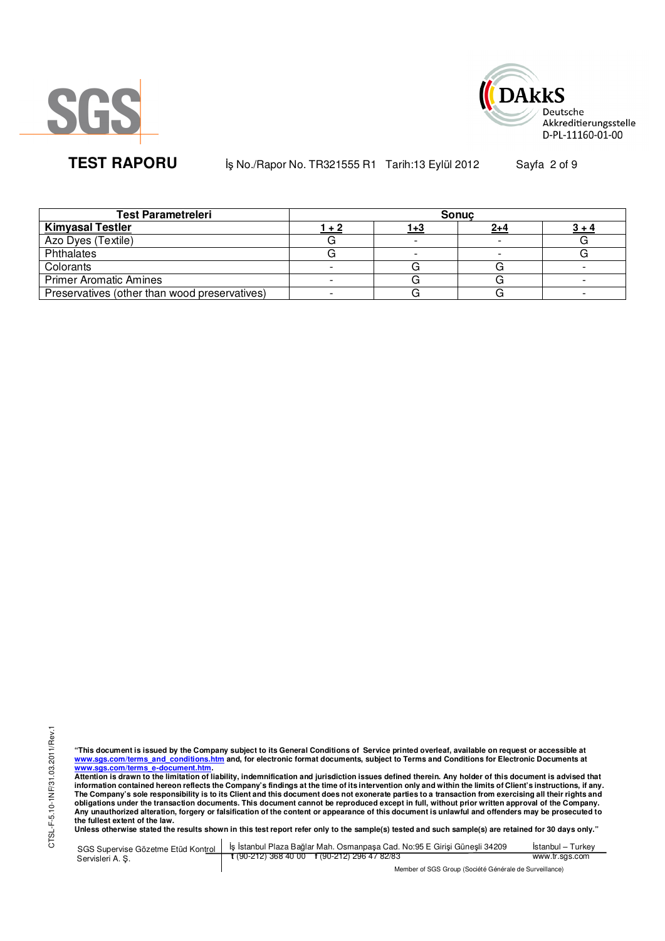



**TEST RAPORU b** iş No./Rapor No. TR321555 R1 Tarih:13 Eylül 2012 Sayfa 2 of 9

| <b>Test Parametreleri</b>                     | <b>Sonuc</b> |     |         |  |  |
|-----------------------------------------------|--------------|-----|---------|--|--|
| <b>Kimyasal Testler</b>                       | 1 + 2        | 1+3 | $2 + 4$ |  |  |
| Azo Dyes (Textile)                            |              |     |         |  |  |
| Phthalates                                    |              |     |         |  |  |
| Colorants                                     |              |     |         |  |  |
| <b>Primer Aromatic Amines</b>                 |              |     |         |  |  |
| Preservatives (other than wood preservatives) |              |     |         |  |  |

"This document is issued by the Company subject to its General Conditions of Service printed overleaf, available on request or accessible at<br>www.sgs.com/terms\_and\_conditions.htm\_and, for electronic format documents, subjec

<u>www.sgs.com/terms\_e-document.htm.</u><br>Attention is drawn to the limitation of liability, indemnification and jurisdiction issues defined therein. Any holder of this document is advised that<br>information contained hereon refle obligations under the transaction documents. This document cannot be reproduced except in full, without prior written approval of the Company.<br>Any unauthorized alteration, forgery or falsification of the content or appeara

**Unless otherwise stated the results shown in this test report refer only to the sample(s) tested and such sample(s) are retained for 30 days only."** 

|                  | SGS Supervise Gözetme Etüd Kontrol   İş İstanbul Plaza Bağlar Mah. Osmanpaşa Cad. No:95 E Girişi Güneşli 34209 | Istanbul – Turkev |
|------------------|----------------------------------------------------------------------------------------------------------------|-------------------|
| Servisleri A. S. | $\frac{1}{2}$ (90-212) 368 40 00 f (90-212) 296 47 82/83                                                       | www.tr.sgs.com    |
|                  | Member of SGS Group (Société Générale de Surveillance)                                                         |                   |

 $\sqrt{SGS}$  Group (Société Générale de Surveillance)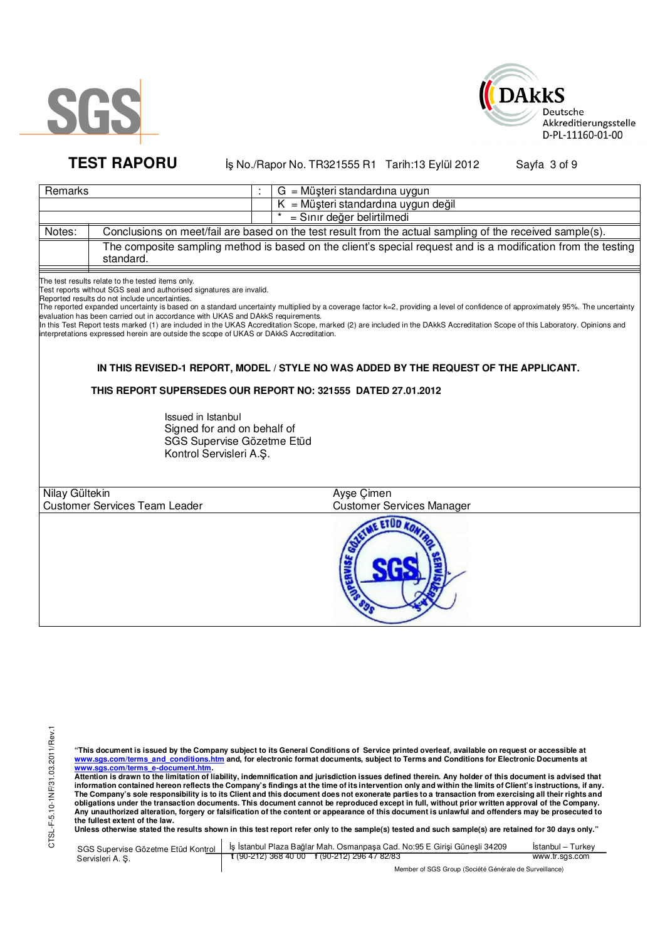



# **TEST RAPORU b** iş No./Rapor No. TR321555 R1 Tarih:13 Eylül 2012 Sayfa 3 of 9

|                | Remarks<br>$G = M\ddot{\mu}$ şteri standardına uygun                                                                                                                                                                                                                                                                                                     |                                                                                                                                                                                                                                                                                                                                                                 |  |  |  |  |
|----------------|----------------------------------------------------------------------------------------------------------------------------------------------------------------------------------------------------------------------------------------------------------------------------------------------------------------------------------------------------------|-----------------------------------------------------------------------------------------------------------------------------------------------------------------------------------------------------------------------------------------------------------------------------------------------------------------------------------------------------------------|--|--|--|--|
|                |                                                                                                                                                                                                                                                                                                                                                          | = Müşteri standardına uygun değil                                                                                                                                                                                                                                                                                                                               |  |  |  |  |
|                | = Sınır değer belirtilmedi                                                                                                                                                                                                                                                                                                                               |                                                                                                                                                                                                                                                                                                                                                                 |  |  |  |  |
| Notes:         |                                                                                                                                                                                                                                                                                                                                                          | Conclusions on meet/fail are based on the test result from the actual sampling of the received sample(s).                                                                                                                                                                                                                                                       |  |  |  |  |
|                | standard.                                                                                                                                                                                                                                                                                                                                                | The composite sampling method is based on the client's special request and is a modification from the testing                                                                                                                                                                                                                                                   |  |  |  |  |
|                | The test results relate to the tested items only.<br>Test reports without SGS seal and authorised signatures are invalid.<br>Reported results do not include uncertainties.<br>evaluation has been carried out in accordance with UKAS and DAkkS requirements.<br>interpretations expressed herein are outside the scope of UKAS or DAkkS Accreditation. | The reported expanded uncertainty is based on a standard uncertainty multiplied by a coverage factor k=2, providing a level of confidence of approximately 95%. The uncertainty<br>In this Test Report tests marked (1) are included in the UKAS Accreditation Scope, marked (2) are included in the DAkkS Accreditation Scope of this Laboratory. Opinions and |  |  |  |  |
|                |                                                                                                                                                                                                                                                                                                                                                          | IN THIS REVISED-1 REPORT, MODEL / STYLE NO WAS ADDED BY THE REQUEST OF THE APPLICANT.                                                                                                                                                                                                                                                                           |  |  |  |  |
|                |                                                                                                                                                                                                                                                                                                                                                          | THIS REPORT SUPERSEDES OUR REPORT NO: 321555 DATED 27.01.2012                                                                                                                                                                                                                                                                                                   |  |  |  |  |
|                | Issued in Istanbul<br>Signed for and on behalf of<br>SGS Supervise Gözetme Etüd<br>Kontrol Servisleri A.Ş.                                                                                                                                                                                                                                               |                                                                                                                                                                                                                                                                                                                                                                 |  |  |  |  |
| Nilay Gültekin |                                                                                                                                                                                                                                                                                                                                                          | Ayşe Çimen                                                                                                                                                                                                                                                                                                                                                      |  |  |  |  |
|                | <b>Customer Services Team Leader</b>                                                                                                                                                                                                                                                                                                                     | <b>Customer Services Manager</b>                                                                                                                                                                                                                                                                                                                                |  |  |  |  |
|                |                                                                                                                                                                                                                                                                                                                                                          | <b>EETUD</b><br>avıs                                                                                                                                                                                                                                                                                                                                            |  |  |  |  |

"This document is issued by the Company subject to its General Conditions of Service printed overleaf, available on request or accessible at<br>www.sgs.com/terms\_and\_conditions.htm\_and, for electronic format documents, subjec

<u>www.sgs.com/terms\_e-document.htm.</u><br>Attention is drawn to the limitation of liability, indemnification and jurisdiction issues defined therein. Any holder of this document is advised that<br>information contained hereon refle obligations under the transaction documents. This document cannot be reproduced except in full, without prior written approval of the Company.<br>Any unauthorized alteration, forgery or falsification of the content or appeara

**Unless otherwise stated the results shown in this test report refer only to the sample(s) tested and such sample(s) are retained for 30 days only."** 

|                  | SGS Supervise Gözetme Etüd Kontrol   İş İstanbul Plaza Bağlar Mah. Osmanpaşa Cad. No:95 E Girişi Güneşli 34209 | Istanbul – Turkev |
|------------------|----------------------------------------------------------------------------------------------------------------|-------------------|
| Servisleri A. S. | $\frac{1}{1}$ (90-212) 368 40 00 f (90-212) 296 47 82/83                                                       | www.tr.sgs.com    |
|                  | Member of SGS Group (Société Générale de Surveillance)                                                         |                   |

Group (Société Générale de Surveillance)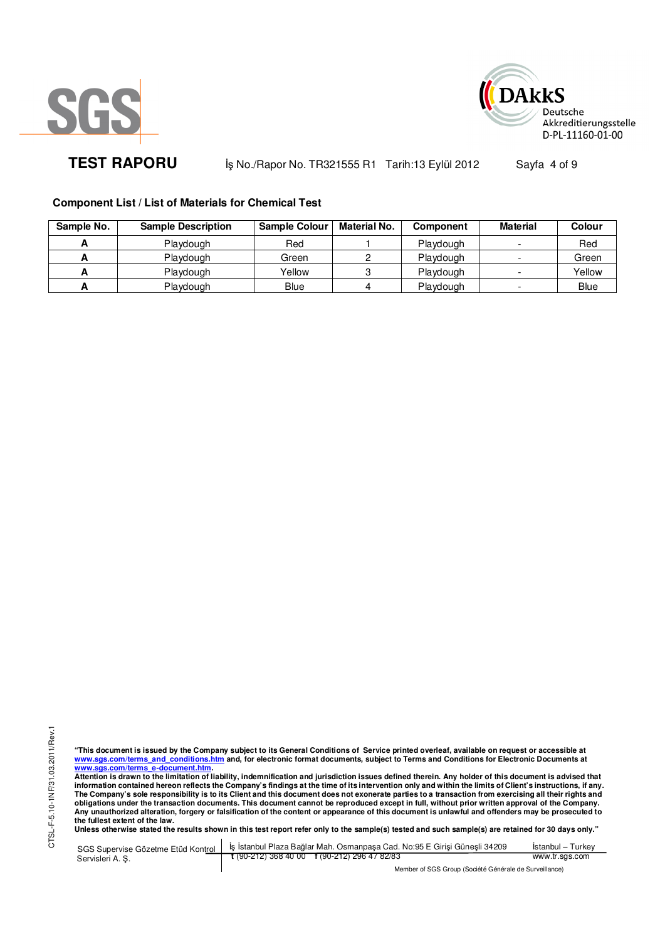



**TEST RAPORU b** iş No./Rapor No. TR321555 R1 Tarih:13 Eylül 2012 Sayfa 4 of 9

# **Component List / List of Materials for Chemical Test**

| Sample No. | <b>Sample Description</b> | <b>Sample Colour</b> | <b>Material No.</b> | <b>Component</b> | <b>Material</b> | Colour      |
|------------|---------------------------|----------------------|---------------------|------------------|-----------------|-------------|
|            | Playdough                 | Red                  |                     | Playdough        |                 | Red         |
|            | Playdough                 | Green                |                     | Playdough        |                 | Green       |
| -          | Playdough                 | Yellow               |                     | Playdough        |                 | Yellow      |
|            | Playdough                 | Blue                 |                     | Playdough        |                 | <b>Blue</b> |

"This document is issued by the Company subject to its General Conditions of Service printed overleaf, available on request or accessible at<br>www.sgs.com/terms\_and\_conditions.htm\_and, for electronic format documents, subjec

<u>www.sgs.com/terms\_e-document.htm.</u><br>Attention is drawn to the limitation of liability, indemnification and jurisdiction issues defined therein. Any holder of this document is advised that<br>information contained hereon refle **obligations under the transaction documents. This document cannot be reproduced except in full, without prior written approval of the Company. Any unauthorized alteration, forgery or falsification of the content or appearance of this document is unlawful and offenders may be prosecuted to the fullest extent of the law.** 

| SGS Supervise Gözetme Etüd Kontrol | S İs İstanbul Plaza Bağlar Mah. Osmanpasa Cad. No:95 E Girisi Günesli 34209 | Istanbul – Turkev |
|------------------------------------|-----------------------------------------------------------------------------|-------------------|
| Servisleri A.S.                    | $\frac{1}{2}$ (90-212) 368 40 00 f (90-212) 296 47 82/83                    | www.tr.sgs.com    |
|                                    | Member of SGS Group (Société Générale de Surveillance)                      |                   |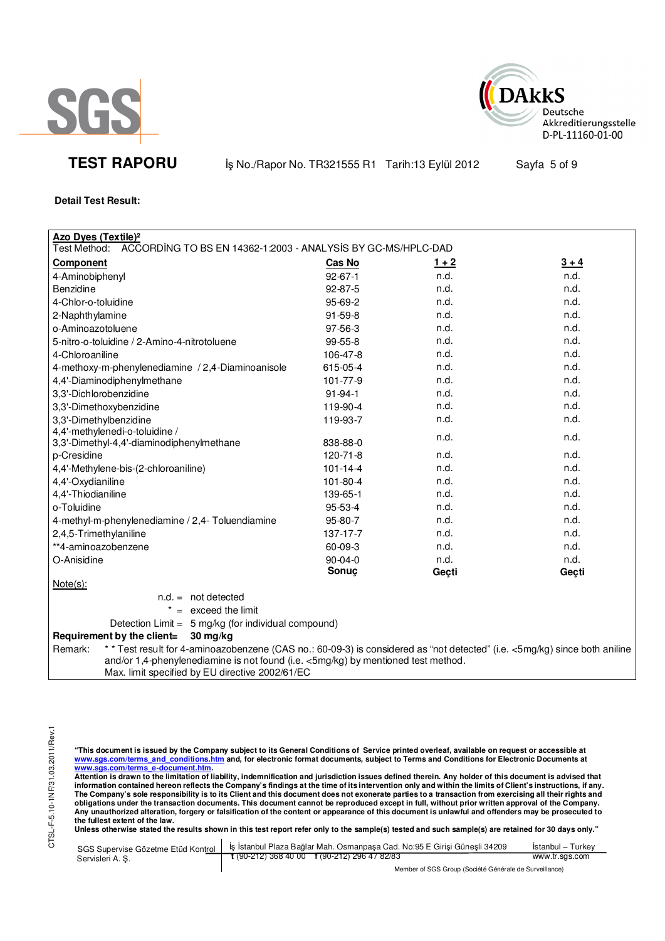



**TEST RAPORU b** iş No./Rapor No. TR321555 R1 Tarih:13 Eylül 2012 Sayfa 5 of 9

# **Detail Test Result:**

| <b>Azo Dyes (Textile)<sup>2</sup></b>                                                                                                                                                                                                                                         |                |         |         |
|-------------------------------------------------------------------------------------------------------------------------------------------------------------------------------------------------------------------------------------------------------------------------------|----------------|---------|---------|
| Test Method:<br>ACCORDING TO BS EN 14362-1:2003 - ANALYSIS BY GC-MS/HPLC-DAD                                                                                                                                                                                                  |                |         |         |
| <b>Component</b>                                                                                                                                                                                                                                                              | Cas No         | $1 + 2$ | $3 + 4$ |
| 4-Aminobiphenyl                                                                                                                                                                                                                                                               | $92 - 67 - 1$  | n.d.    | n.d.    |
| Benzidine                                                                                                                                                                                                                                                                     | $92 - 87 - 5$  | n.d.    | n.d.    |
| 4-Chlor-o-toluidine                                                                                                                                                                                                                                                           | 95-69-2        | n.d.    | n.d.    |
| 2-Naphthylamine                                                                                                                                                                                                                                                               | $91 - 59 - 8$  | n.d.    | n.d.    |
| o-Aminoazotoluene                                                                                                                                                                                                                                                             | 97-56-3        | n.d.    | n.d.    |
| 5-nitro-o-toluidine / 2-Amino-4-nitrotoluene                                                                                                                                                                                                                                  | $99-55-8$      | n.d.    | n.d.    |
| 4-Chloroaniline                                                                                                                                                                                                                                                               | 106-47-8       | n.d.    | n.d.    |
| 4-methoxy-m-phenylenediamine / 2,4-Diaminoanisole                                                                                                                                                                                                                             | 615-05-4       | n.d.    | n.d.    |
| 4,4'-Diaminodiphenylmethane                                                                                                                                                                                                                                                   | 101-77-9       | n.d.    | n.d.    |
| 3,3'-Dichlorobenzidine                                                                                                                                                                                                                                                        | $91 - 94 - 1$  | n.d.    | n.d.    |
| 3,3'-Dimethoxybenzidine                                                                                                                                                                                                                                                       | 119-90-4       | n.d.    | n.d.    |
| 3,3'-Dimethylbenzidine                                                                                                                                                                                                                                                        | 119-93-7       | n.d.    | n.d.    |
| 4,4'-methylenedi-o-toluidine /                                                                                                                                                                                                                                                |                | n.d.    | n.d.    |
| 3,3'-Dimethyl-4,4'-diaminodiphenylmethane                                                                                                                                                                                                                                     | 838-88-0       |         |         |
| p-Cresidine                                                                                                                                                                                                                                                                   | 120-71-8       | n.d.    | n.d.    |
| 4,4'-Methylene-bis-(2-chloroaniline)                                                                                                                                                                                                                                          | $101 - 14 - 4$ | n.d.    | n.d.    |
| 4,4'-Oxydianiline                                                                                                                                                                                                                                                             | 101-80-4       | n.d.    | n.d.    |
| 4,4'-Thiodianiline                                                                                                                                                                                                                                                            | 139-65-1       | n.d.    | n.d.    |
| o-Toluidine                                                                                                                                                                                                                                                                   | 95-53-4        | n.d.    | n.d.    |
| 4-methyl-m-phenylenediamine / 2,4- Toluendiamine                                                                                                                                                                                                                              | 95-80-7        | n.d.    | n.d.    |
| 2,4,5-Trimethylaniline                                                                                                                                                                                                                                                        | 137-17-7       | n.d.    | n.d.    |
| **4-aminoazobenzene                                                                                                                                                                                                                                                           | 60-09-3        | n.d.    | n.d.    |
| O-Anisidine                                                                                                                                                                                                                                                                   | 90-04-0        | n.d.    | n.d.    |
|                                                                                                                                                                                                                                                                               | Sonuç          | Geçti   | Geçti   |
| $Note(s)$ :                                                                                                                                                                                                                                                                   |                |         |         |
| $n.d. = not detected$                                                                                                                                                                                                                                                         |                |         |         |
| $=$ exceed the limit                                                                                                                                                                                                                                                          |                |         |         |
| Detection Limit = $5 \text{ mg/kg}$ (for individual compound)                                                                                                                                                                                                                 |                |         |         |
| Requirement by the client=<br>30 mg/kg                                                                                                                                                                                                                                        |                |         |         |
| * * Test result for 4-aminoazobenzene (CAS no.: 60-09-3) is considered as "not detected" (i.e. <5mg/kg) since both aniline<br>Remark:<br>and/or 1,4-phenylenediamine is not found (i.e. <5mg/kg) by mentioned test method.<br>Max. limit specified by EU directive 2002/61/EC |                |         |         |

"This document is issued by the Company subject to its General Conditions of Service printed overleaf, available on request or accessible at<br>www.sgs.com/terms\_and\_conditions.htm\_and, for electronic format documents, subjec

<mark>www.sgs.com/terms\_e-document.htm.</mark><br>Attention is drawn to the limitation of liability, indemnification and jurisdiction issues defined therein. Any holder of this document is advised that information contained hereon reflects the Company's findings at the time of its intervention only and within the limits of Client's instructions, if any.<br>The Company's sole responsibility is to its Client and this document **obligations under the transaction documents. This document cannot be reproduced except in full, without prior written approval of the Company. Any unauthorized alteration, forgery or falsification of the content or appearance of this document is unlawful and offenders may be prosecuted to the fullest extent of the law.** 

|                  | SGS Supervise Gözetme Etüd Kontrol   İş İstanbul Plaza Bağlar Mah. Osmanpaşa Cad. No:95 E Girişi Güneşli 34209 | İstanbul – Turkev |
|------------------|----------------------------------------------------------------------------------------------------------------|-------------------|
| Servisleri A. S. | $t(90-212)3684000$ $t(90-212)2964782/83$                                                                       | www.tr.sgs.com    |
|                  | Member of SGS Group (Société Générale de Surveillance)                                                         |                   |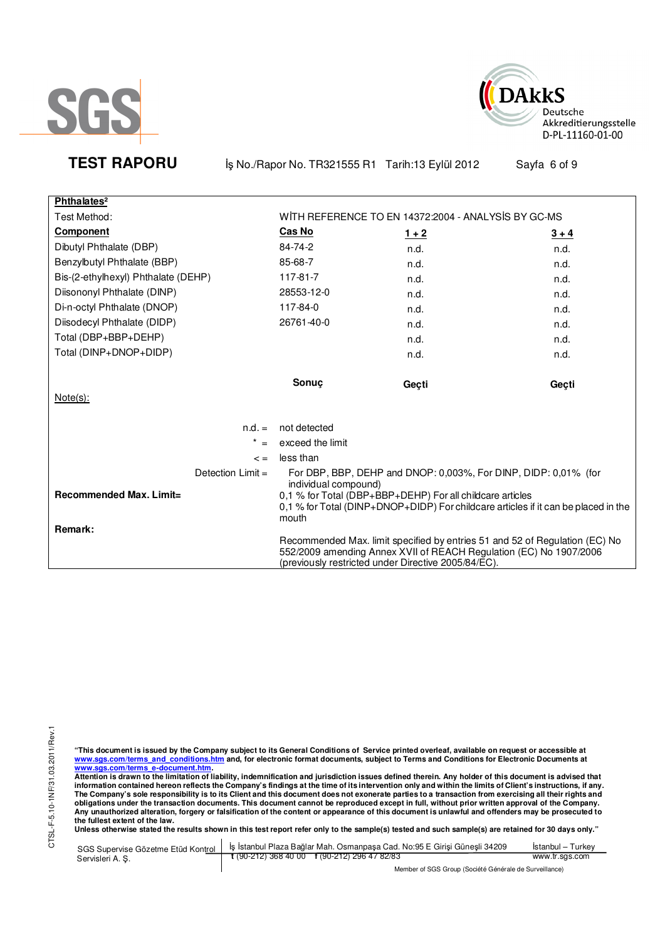



**TEST RAPORU b** iş No./Rapor No. TR321555 R1 Tarih:13 Eylül 2012 Sayfa 6 of 9

| Phthalates <sup>2</sup>                                   |                               |                                                                                                                              |                                                                                    |
|-----------------------------------------------------------|-------------------------------|------------------------------------------------------------------------------------------------------------------------------|------------------------------------------------------------------------------------|
| Test Method:                                              |                               | WITH REFERENCE TO EN 14372:2004 - ANALYSIS BY GC-MS                                                                          |                                                                                    |
| <b>Component</b>                                          | <b>Cas No</b>                 | $1 + 2$                                                                                                                      | $3 + 4$                                                                            |
| Dibutyl Phthalate (DBP)                                   | 84-74-2                       | n.d.                                                                                                                         | n.d.                                                                               |
| Benzylbutyl Phthalate (BBP)                               | 85-68-7                       | n.d.                                                                                                                         | n.d.                                                                               |
| Bis-(2-ethylhexyl) Phthalate (DEHP)                       | 117-81-7                      | n.d.                                                                                                                         | n.d.                                                                               |
| Diisononyl Phthalate (DINP)                               | 28553-12-0                    | n.d.                                                                                                                         | n.d.                                                                               |
| Di-n-octyl Phthalate (DNOP)                               | 117-84-0                      | n.d.                                                                                                                         | n.d.                                                                               |
| Diisodecyl Phthalate (DIDP)                               | 26761-40-0                    | n.d.                                                                                                                         | n.d.                                                                               |
| Total (DBP+BBP+DEHP)                                      |                               | n.d.                                                                                                                         | n.d.                                                                               |
| Total (DINP+DNOP+DIDP)                                    |                               | n.d.                                                                                                                         | n.d.                                                                               |
| Note(s):                                                  | Sonuc                         | Geçti                                                                                                                        | Geçti                                                                              |
| $n.d. =$                                                  | not detected                  |                                                                                                                              |                                                                                    |
|                                                           | exceed the limit              |                                                                                                                              |                                                                                    |
| $\leq$ $=$                                                | less than                     |                                                                                                                              |                                                                                    |
| Detection $Limit =$<br>Recommended Max. Limit=<br>Remark: | individual compound)<br>mouth | For DBP, BBP, DEHP and DNOP: 0,003%, For DINP, DIDP: 0,01% (for<br>0,1 % for Total (DBP+BBP+DEHP) For all childcare articles | 0,1 % for Total (DINP+DNOP+DIDP) For childcare articles if it can be placed in the |
|                                                           |                               | 552/2009 amending Annex XVII of REACH Regulation (EC) No 1907/2006<br>(previously restricted under Directive 2005/84/EC).    | Recommended Max. limit specified by entries 51 and 52 of Regulation (EC) No        |

"This document is issued by the Company subject to its General Conditions of Service printed overleaf, available on request or accessible at<br>www.sgs.com/terms\_and\_conditions.htm\_and, for electronic format documents, subjec

<u>www.sgs.com/terms\_e-document.htm.</u><br>Attention is drawn to the limitation of liability, indemnification and jurisdiction issues defined therein. Any holder of this document is advised that<br>information contained hereon refle obligations under the transaction documents. This document cannot be reproduced except in full, without prior written approval of the Company.<br>Any unauthorized alteration, forgery or falsification of the content or appeara

|                 | SGS Supervise Gözetme Etüd Kontrol   İş İstanbul Plaza Bağlar Mah. Osmanpaşa Cad. No:95 E Girişi Güneşli 34209 | Istanbul – Turkev |  |  |
|-----------------|----------------------------------------------------------------------------------------------------------------|-------------------|--|--|
| Servisleri A.S. | t (90-212) 368 40 00 f (90-212) 296 47 82/83                                                                   | www.tr.sgs.com    |  |  |
|                 | Member of SGS Group (Société Générale de Surveillance)                                                         |                   |  |  |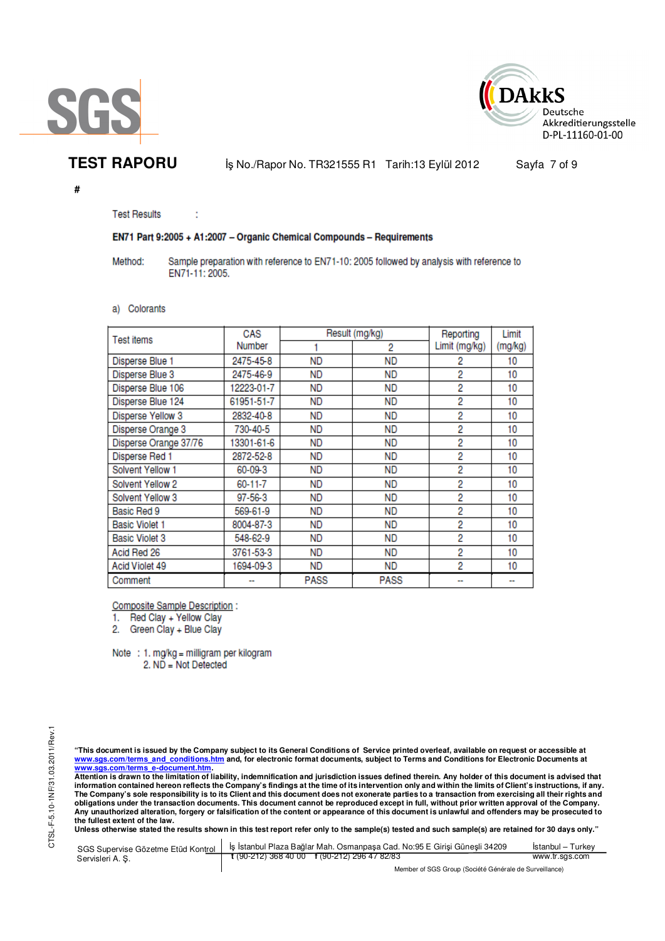



**TEST RAPORU b** iş No./Rapor No. TR321555 R1 Tarih:13 Eylül 2012 Sayfa 7 of 9

**#** 

**Test Results** 

ł

## EN71 Part 9:2005 + A1:2007 - Organic Chemical Compounds - Requirements

Method: Sample preparation with reference to EN71-10: 2005 followed by analysis with reference to EN71-11: 2005.

### a) Colorants

| Test items            | CAS        | Result (mg/kg) |             | Reporting     | Limit   |
|-----------------------|------------|----------------|-------------|---------------|---------|
|                       | Number     |                | 2           | Limit (mg/kg) | (mg/kg) |
| Disperse Blue 1       | 2475-45-8  | <b>ND</b>      | ND          | 2             | 10      |
| Disperse Blue 3       | 2475-46-9  | <b>ND</b>      | ND.         | 2             | 10      |
| Disperse Blue 106     | 12223-01-7 | <b>ND</b>      | ND          | 2             | 10      |
| Disperse Blue 124     | 61951-51-7 | <b>ND</b>      | ND          | 2             | 10      |
| Disperse Yellow 3     | 2832-40-8  | ND             | ND          | 2             | 10      |
| Disperse Orange 3     | 730-40-5   | <b>ND</b>      | ND          | 2             | 10      |
| Disperse Orange 37/76 | 13301-61-6 | <b>ND</b>      | ND          | 2             | 10      |
| Disperse Red 1        | 2872-52-8  | <b>ND</b>      | ND          | 2             | 10      |
| Solvent Yellow 1      | 60-09-3    | ND             | ND          | 2             | 10      |
| Solvent Yellow 2      | 60-11-7    | <b>ND</b>      | ND          | 2             | 10      |
| Solvent Yellow 3      | 97-56-3    | <b>ND</b>      | ND          | 2             | 10      |
| Basic Red 9           | 569-61-9   | <b>ND</b>      | ND          | 2             | 10      |
| <b>Basic Violet 1</b> | 8004-87-3  | ND             | ND          | 2             | 10      |
| <b>Basic Violet 3</b> | 548-62-9   | ND             | ND          | 2             | 10      |
| Acid Red 26           | 3761-53-3  | <b>ND</b>      | ND          | 2             | 10      |
| Acid Violet 49        | 1694-09-3  | <b>ND</b>      | ND          | 2             | 10      |
| Comment               |            | <b>PASS</b>    | <b>PASS</b> |               |         |

**Composite Sample Description:** 

1. Red Clay + Yellow Clay

2. Green Clay + Blue Clay

Note : 1. mg/kg = milligram per kilogram 2. ND = Not Detected

"This document is issued by the Company subject to its General Conditions of Service printed overleaf, available on request or accessible at<br>www.sgs.com/terms\_and\_conditions.htm\_and, for electronic format documents, subjec <mark>www.sgs.com/terms\_e-document.htm.</mark><br>Attention is drawn to the limitation of liability, indemnification and jurisdiction issues defined therein. Any holder of this document is advised that

information contained hereon reflects the Company's findings at the time of its intervention only and within the limits of Client's instructions, if any.<br>The Company's sole responsibility is to its Client and this document **obligations under the transaction documents. This document cannot be reproduced except in full, without prior written approval of the Company. Any unauthorized alteration, forgery or falsification of the content or appearance of this document is unlawful and offenders may be prosecuted to the fullest extent of the law.** 

|                  | SGS Supervise Gözetme Etüd Kontrol   İş İstanbul Plaza Bağlar Mah. Osmanpaşa Cad. No:95 E Girisi Günesli 34209 | Istanbul – Turkev |  |  |
|------------------|----------------------------------------------------------------------------------------------------------------|-------------------|--|--|
| Servisleri A. S. | $\frac{1}{2}$ (90-212) 368 40 00 f (90-212) 296 47 82/83                                                       | www.tr.sgs.com    |  |  |
|                  | Member of SGS Group (Société Générale de Surveillance)                                                         |                   |  |  |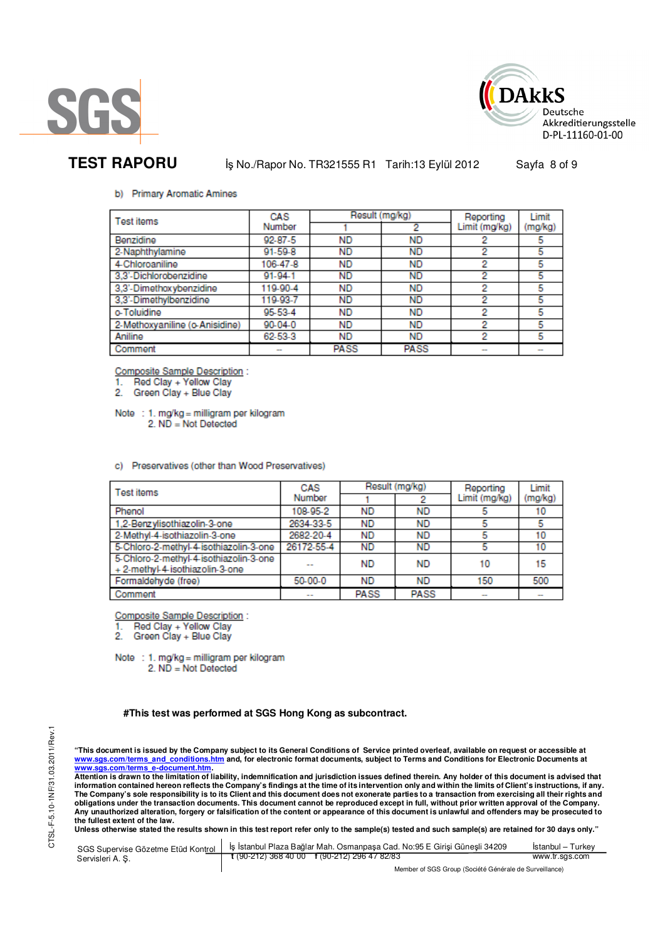



# **TEST RAPORU** iş No./Rapor No. TR321555 R1 Tarih:13 Eylül 2012 Sayfa 8 of 9

### b) Primary Aromatic Amines

| Test items                     | CAS           | Result (mg/kg) |             | Reporting     | Limit   |
|--------------------------------|---------------|----------------|-------------|---------------|---------|
|                                | Number        |                | 2           | Limit (mg/kg) | (mg/kg) |
| Benzidine                      | $92 - 87 - 5$ | <b>ND</b>      | <b>ND</b>   |               | 5       |
| 2-Naphthylamine                | $91 - 59 - 8$ | <b>ND</b>      | <b>ND</b>   | 2             | 5       |
| 4-Chloroaniline                | 106-47-8      | <b>ND</b>      | <b>ND</b>   | 2             | 5       |
| 3.3'-Dichlorobenzidine         | 91-94-1       | <b>ND</b>      | <b>ND</b>   | 2             | 5       |
| 3,3'-Dimethoxybenzidine        | 119-90-4      | <b>ND</b>      | <b>ND</b>   | 2             | 5       |
| 3,3'-Dimethylbenzidine         | 119-93-7      | <b>ND</b>      | <b>ND</b>   | 2             | 5       |
| o-Toluidine                    | 95-53-4       | <b>ND</b>      | <b>ND</b>   | 2             | 5       |
| 2-Methoxyaniline (o-Anisidine) | $90 - 04 - 0$ | <b>ND</b>      | <b>ND</b>   | 2             | 5       |
| Aniline                        | 62-53-3       | <b>ND</b>      | <b>ND</b>   | 2             | 5       |
| Comment                        | $\sim$        | <b>PASS</b>    | <b>PASS</b> |               | $\sim$  |

**Composite Sample Description:** 

Red Clay + Yellow Clay

2. Green Clay + Blue Clay

Note : 1. mg/kg = milligram per kilogram  $2. N\overline{D} = Not$  Detected

c) Preservatives (other than Wood Preservatives)

| <b>Test items</b>                                                         | CAS           | Result (mg/kg) |             | Reporting     | Limit   |
|---------------------------------------------------------------------------|---------------|----------------|-------------|---------------|---------|
|                                                                           | Number        |                |             | Limit (mg/kg) | (mg/kg) |
| Phenol                                                                    | 108-95-2      | <b>ND</b>      | <b>ND</b>   |               | 10      |
| 1,2-Benzylisothiazolin-3-one                                              | 2634-33-5     | <b>ND</b>      | <b>ND</b>   |               | 5       |
| 2-Methyl-4-isothiazolin-3-one                                             | 2682-20-4     | <b>ND</b>      | ND          | 5             | 10      |
| 5-Chloro-2-methyl-4-isothiazolin-3-one                                    | 26172-55-4    | <b>ND</b>      | <b>ND</b>   |               | 10      |
| 5-Chloro-2-methyl-4-isothiazolin-3-one<br>+ 2-methyl-4-isothiazolin-3-one |               | <b>ND</b>      | <b>ND</b>   | 10            | 15      |
| Formaldehyde (free)                                                       | 50-00-0       | <b>ND</b>      | <b>ND</b>   | 150           | 500     |
| Comment                                                                   | $\sim$ $\sim$ | <b>PASS</b>    | <b>PASS</b> | $\sim$        |         |

Composite Sample Description :

Red Clay + Yellow Clay<br>Green Clay + Blue Clay

2

Note : 1. mg/kg = milligram per kilogram 2. ND = Not Detected

### **#This test was performed at SGS Hong Kong as subcontract.**

"This document is issued by the Company subject to its General Conditions of Service printed overleaf, available on request or accessible at<br>www.sgs.com/terms\_and\_conditions.htm\_and, for electronic format documents, subjec <mark>www.sgs.com/terms\_e-document.htm.</mark><br>Attention is drawn to the limitation of liability, indemnification and jurisdiction issues defined therein. Any holder of this document is advised that

information contained hereon reflects the Company's findings at the time of its intervention only and within the limits of Client's instructions, if any.<br>The Company's sole responsibility is to its Client and this document **obligations under the transaction documents. This document cannot be reproduced except in full, without prior written approval of the Company. Any unauthorized alteration, forgery or falsification of the content or appearance of this document is unlawful and offenders may be prosecuted to the fullest extent of the law.** 

| SGS Supervise Gözetme Etüd Kontrol | Is Istanbul Plaza Bağlar Mah. Osmanpasa Cad. No:95 E Girisi Günesli 34209 | Istanbul – Turkev |  |
|------------------------------------|---------------------------------------------------------------------------|-------------------|--|
| Servisleri A.S.                    | $t(90-212)3684000$ $t(90-212)2964782/83$                                  | www.tr.sgs.com    |  |
|                                    | Member of SGS Group (Société Générale de Surveillance)                    |                   |  |